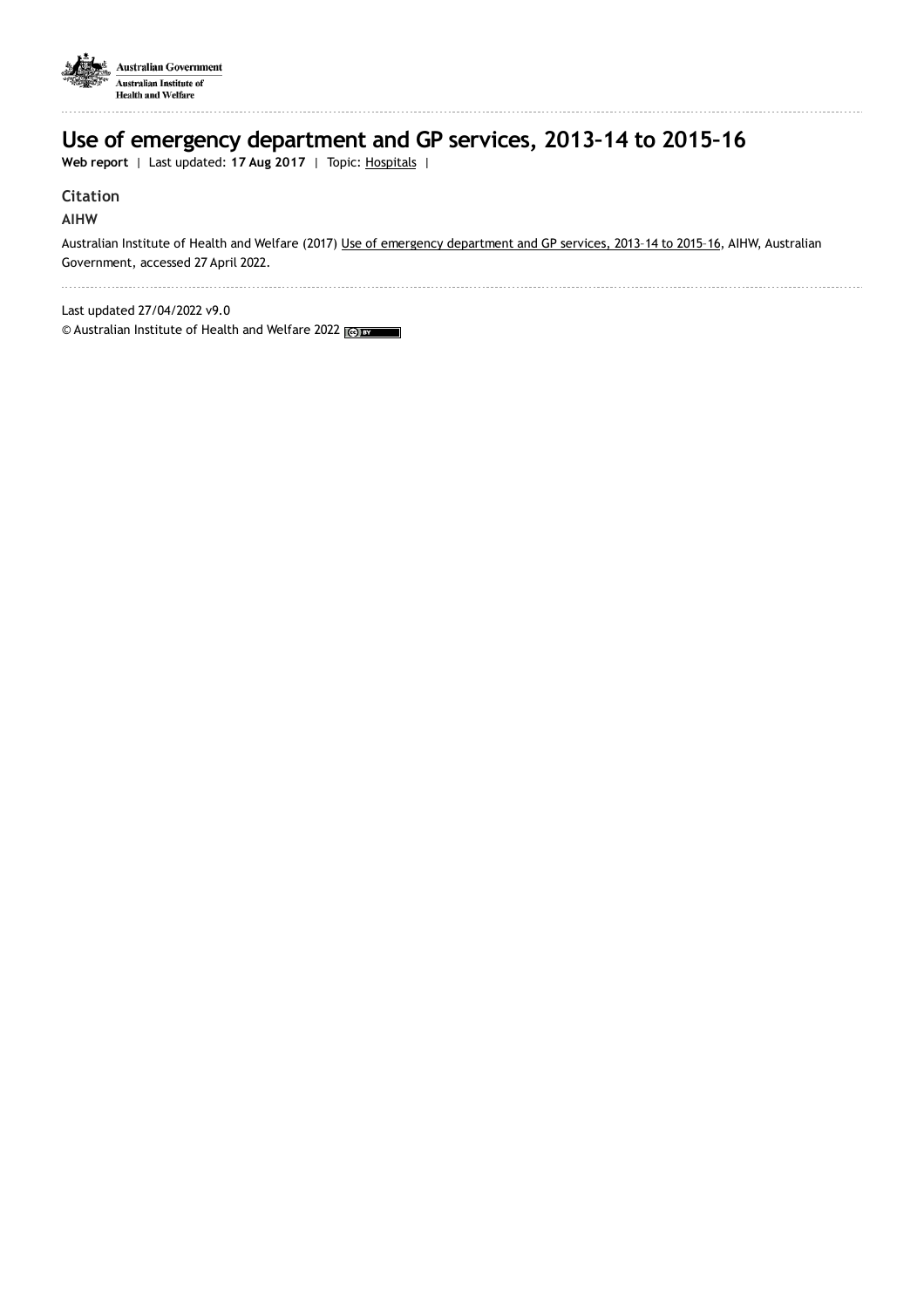

# **Use of emergency department and GP services, 2013–14 to 2015–16**

**Web report** | Last updated: **17 Aug 2017** | Topic: [Hospitals](https://www.aihw.gov.au/reports-data/myhospitals) |

### **Citation**

### **AIHW**

Australian Institute of Health and Welfare (2017) Use of emergency [department](https://www.aihw.gov.au/reports/hospitals/use-emergency-department-gp-services-2015-16) and GP services, 2013-14 to 2015-16, AIHW, Australian Government, accessed 27 April 2022.

Last updated 27/04/2022 v9.0

© Australian Institute of Health and Welfare 2022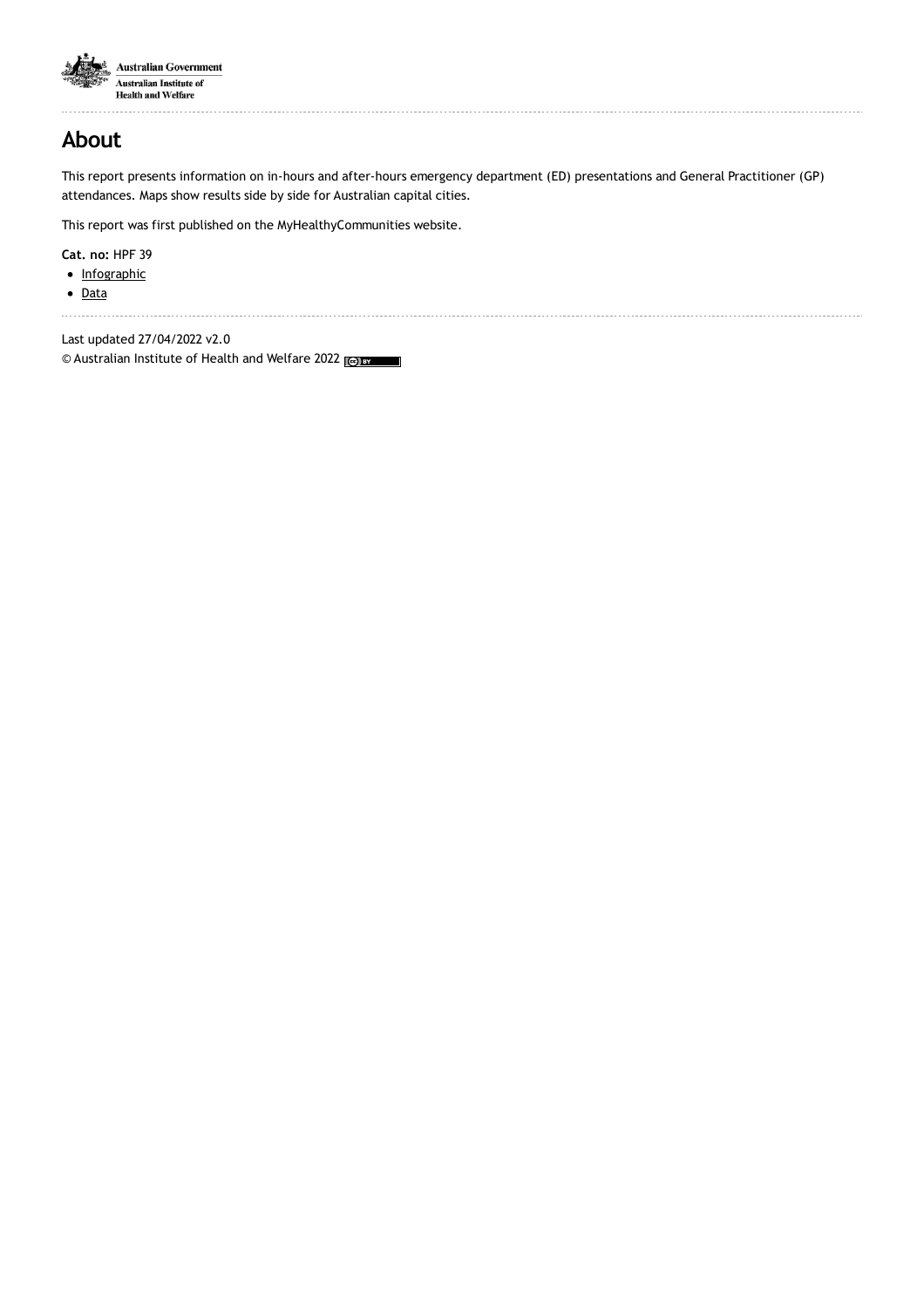

.........................

## **About**

This report presents information on in-hours and after-hours emergency department (ED) presentations and General Practitioner (GP) attendances. Maps show results side by side for Australian capital cities.

This report was first published on the MyHealthyCommunities website.

**Cat. no:** HPF 39

- [Infographic](https://www.aihw.gov.au/reports/hospitals/use-emergency-department-gp-services-2015-16/related-material)
- [Data](https://www.aihw.gov.au/reports/hospitals/use-emergency-department-gp-services-2015-16/data)

Last updated 27/04/2022 v2.0 © Australian Institute of Health and Welfare 2022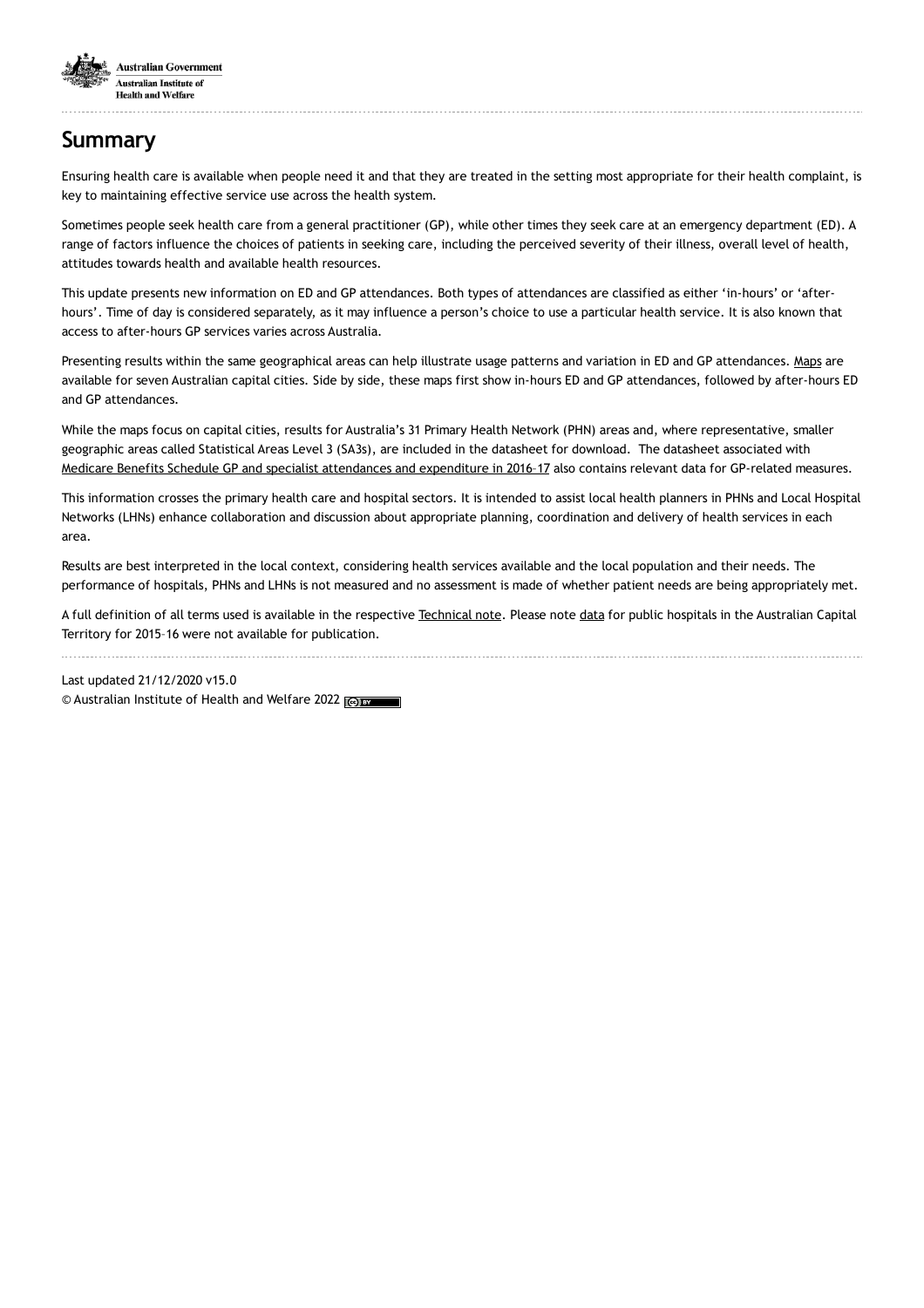

# **Summary**

Ensuring health care is available when people need it and that they are treated in the setting most appropriate for their health complaint, is key to maintaining effective service use across the health system.

Sometimes people seek health care from a general practitioner (GP), while other times they seek care at an emergency department (ED). A range of factors influence the choices of patients in seeking care, including the perceived severity of their illness, overall level of health, attitudes towards health and available health resources.

This update presents new information on ED and GP attendances. Both types of attendances are classified as either 'in-hours' or 'afterhours'. Time of day is considered separately, as it may influence a person's choice to use a particular health service. It is also known that access to after-hours GP services varies across Australia.

Presenting results within the same geographical areas can help illustrate usage patterns and variation in ED and GP attendances. [Maps](https://www.aihw.gov.au/reports/hospitals/use-of-emergency-department-and-gp-services-in-201/contents/maps) are available for seven Australian capital cities. Side by side, these maps first show in-hours ED and GP attendances, followed by after-hours ED and GP attendances.

While the maps focus on capital cities, results for Australia's 31 Primary Health Network (PHN) areas and, where representative, smaller geographic areas called Statistical Areas Level 3 (SA3s), are included in the datasheet for download. The datasheet associated with Medicare Benefits Schedule GP and specialist [attendances](https://www.aihw.gov.au/reports/health-welfare-expenditure/mbs-gp-and-specialist-attendances-2016-17) and expenditure in 2016–17 also contains relevant data for GP-related measures.

This information crosses the primary health care and hospital sectors. It is intended to assist local health planners in PHNs and Local Hospital Networks (LHNs) enhance collaboration and discussion about appropriate planning, coordination and delivery of health services in each area.

Results are best interpreted in the local context, considering health services available and the local population and their needs. The performance of hospitals, PHNs and LHNs is not measured and no assessment is made of whether patient needs are being appropriately met.

A full definition of all terms used is available in the respective [Technical](https://www.aihw.gov.au/reports/hospitals/use-of-emergency-department-and-gp-services-in-201/contents/technical-note) note. Please note [data](https://www.aihw.gov.au/reports/hospitals/use-emergency-department-gp-services-2015-16/data) for public hospitals in the Australian Capital Territory for 2015–16 were not available for publication.

Last updated 21/12/2020 v15.0 © Australian Institute of Health and Welfare 2022 (@) BY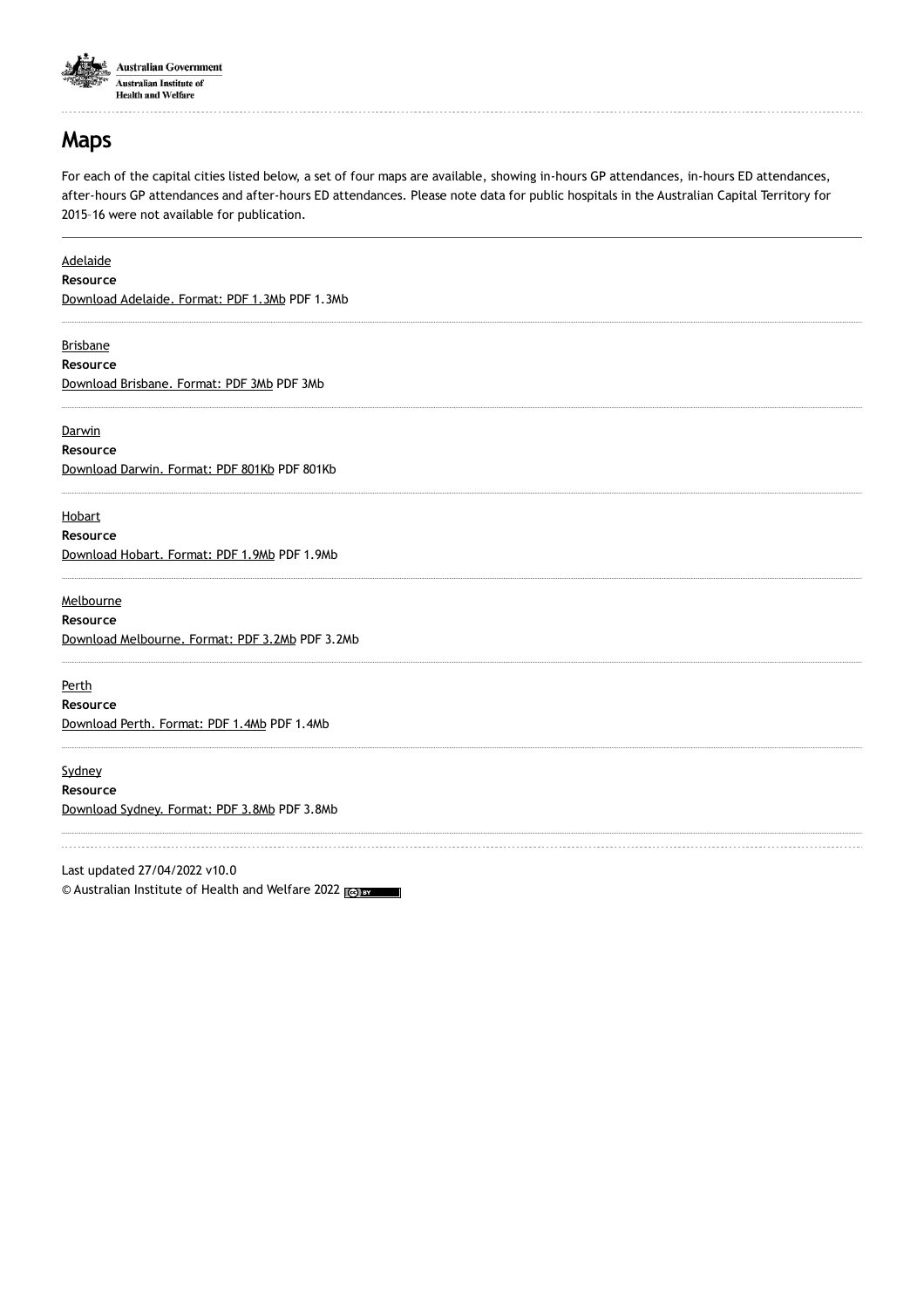

## **Maps**

For each of the capital cities listed below, a set of four maps are available, showing in-hours GP attendances, in-hours ED attendances, after-hours GP attendances and after-hours ED attendances. Please note data for public hospitals in the Australian Capital Territory for 2015–16 were not available for publication.

| <b>Adelaide</b>                                 |  |
|-------------------------------------------------|--|
| Resource                                        |  |
| Download Adelaide. Format: PDF 1.3Mb PDF 1.3Mb  |  |
| <b>Brisbane</b>                                 |  |
| Resource                                        |  |
| Download Brisbane. Format: PDF 3Mb PDF 3Mb      |  |
| Darwin                                          |  |
| Resource                                        |  |
| Download Darwin. Format: PDF 801Kb PDF 801Kb    |  |
| Hobart                                          |  |
| Resource                                        |  |
| Download Hobart. Format: PDF 1.9Mb PDF 1.9Mb    |  |
| Melbourne                                       |  |
| Resource                                        |  |
| Download Melbourne. Format: PDF 3.2Mb PDF 3.2Mb |  |
| Perth                                           |  |
| Resource                                        |  |
| Download Perth. Format: PDF 1.4Mb PDF 1.4Mb     |  |
| Sydney                                          |  |
| Resource                                        |  |
| Download Sydney. Format: PDF 3.8Mb PDF 3.8Mb    |  |
|                                                 |  |

Last updated 27/04/2022 v10.0 © Australian Institute of Health and Welfare 2022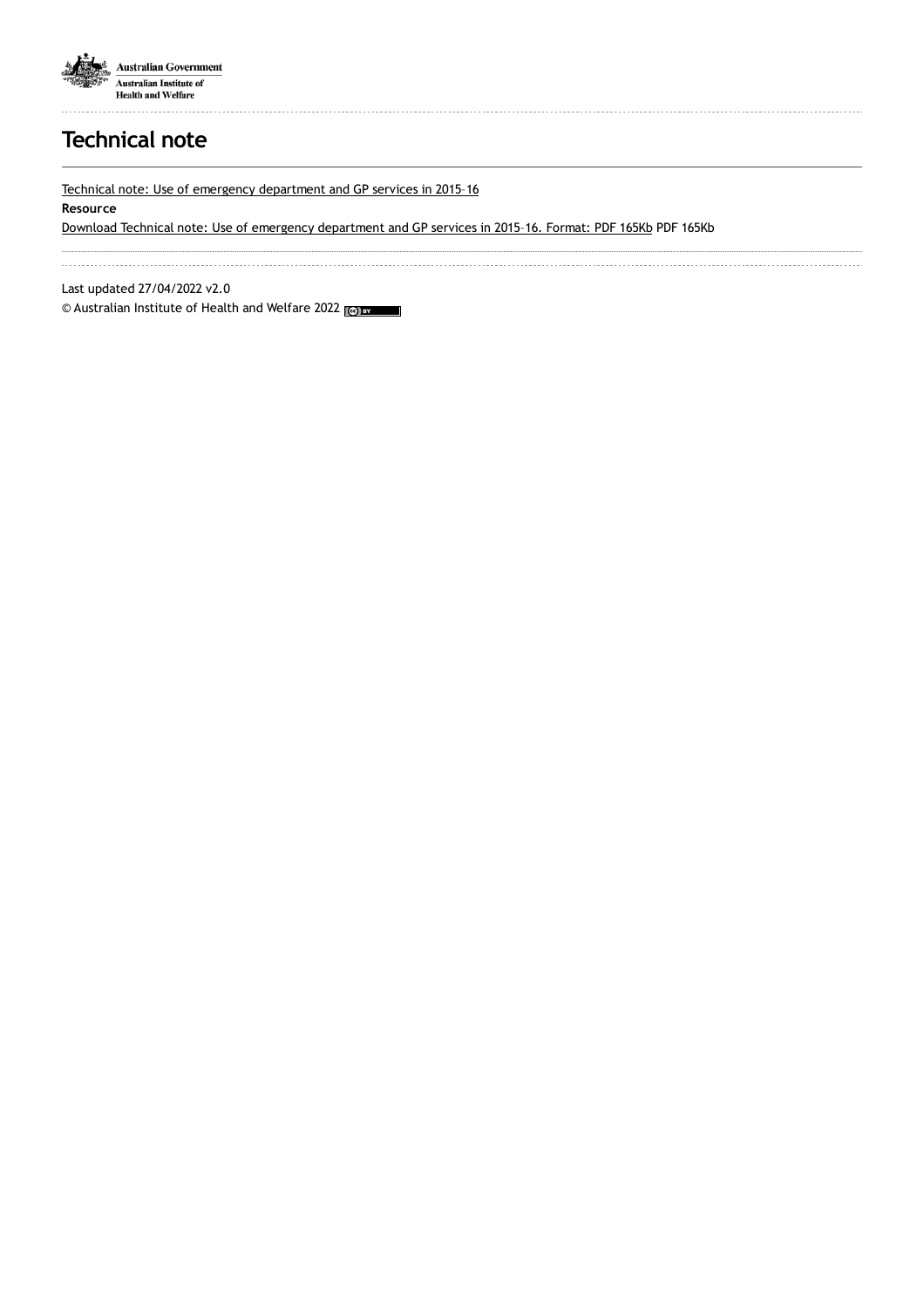

# **Technical note**

Technical note: Use of emergency [department](https://www.aihw.gov.au/getmedia/c04b4037-ffab-4d72-a24d-72b53f2075a3/aihw-mhc-hpf-39-EDGP-Technical-Note-August-2017.pdf.aspx) and GP services in 2015–16

#### **Resource**

Download Technical note: Use of emergency [department](https://www.aihw.gov.au/getmedia/c04b4037-ffab-4d72-a24d-72b53f2075a3/aihw-mhc-hpf-39-EDGP-Technical-Note-August-2017.pdf.aspx) and GP services in 2015–16. Format: PDF 165Kb PDF 165Kb

Last updated 27/04/2022 v2.0

© Australian Institute of Health and Welfare 2022 (@) BY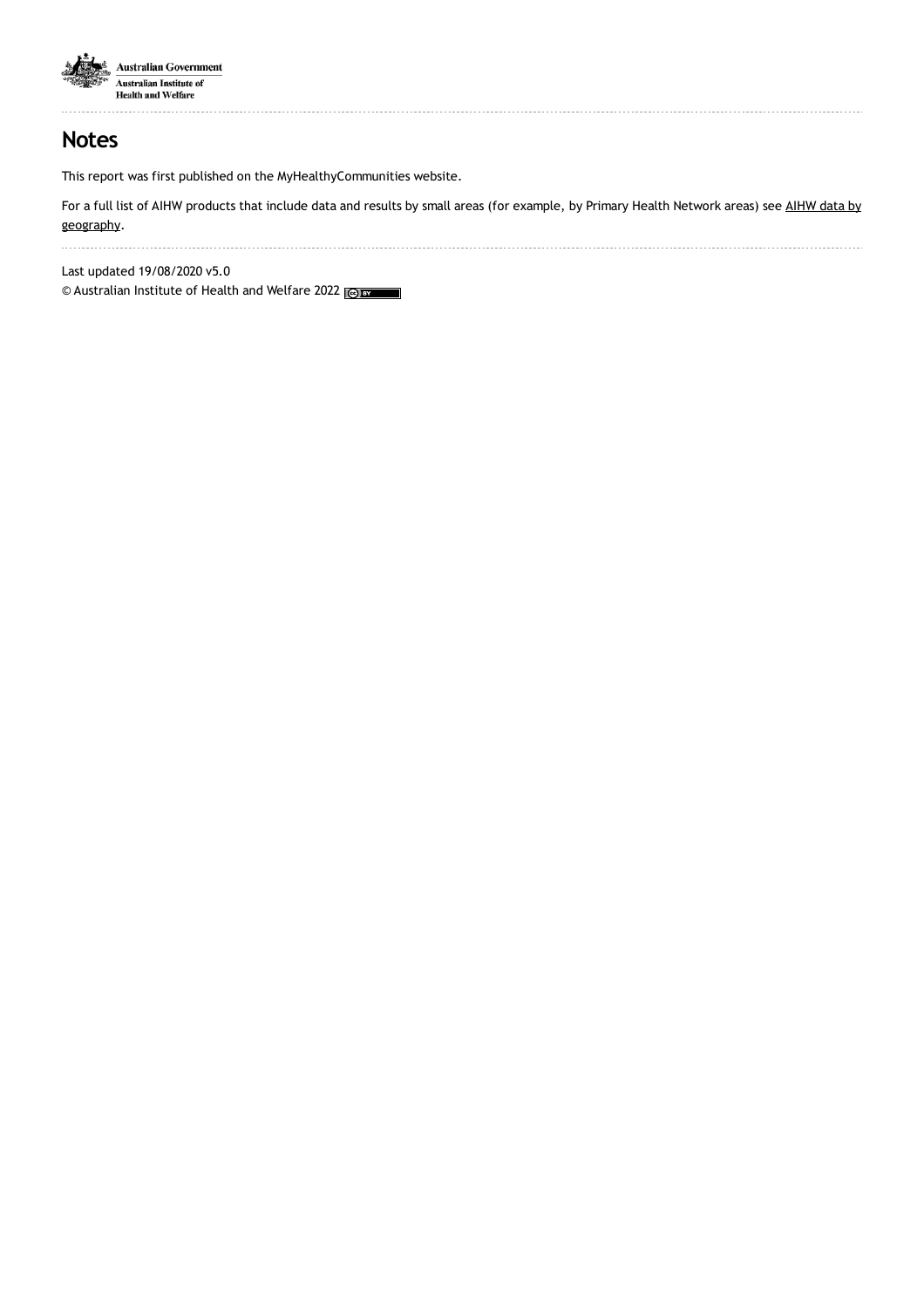

## **Notes**

This report was first published on the MyHealthyCommunities website.

For a full list of AIHW products that include data and results by small areas (for example, by Primary Health Network areas) see AIHW data by [geography.](https://www.aihw.gov.au/about-our-data/aihw-data-by-geography)

Last updated 19/08/2020 v5.0

© Australian Institute of Health and Welfare 2022 (@) BY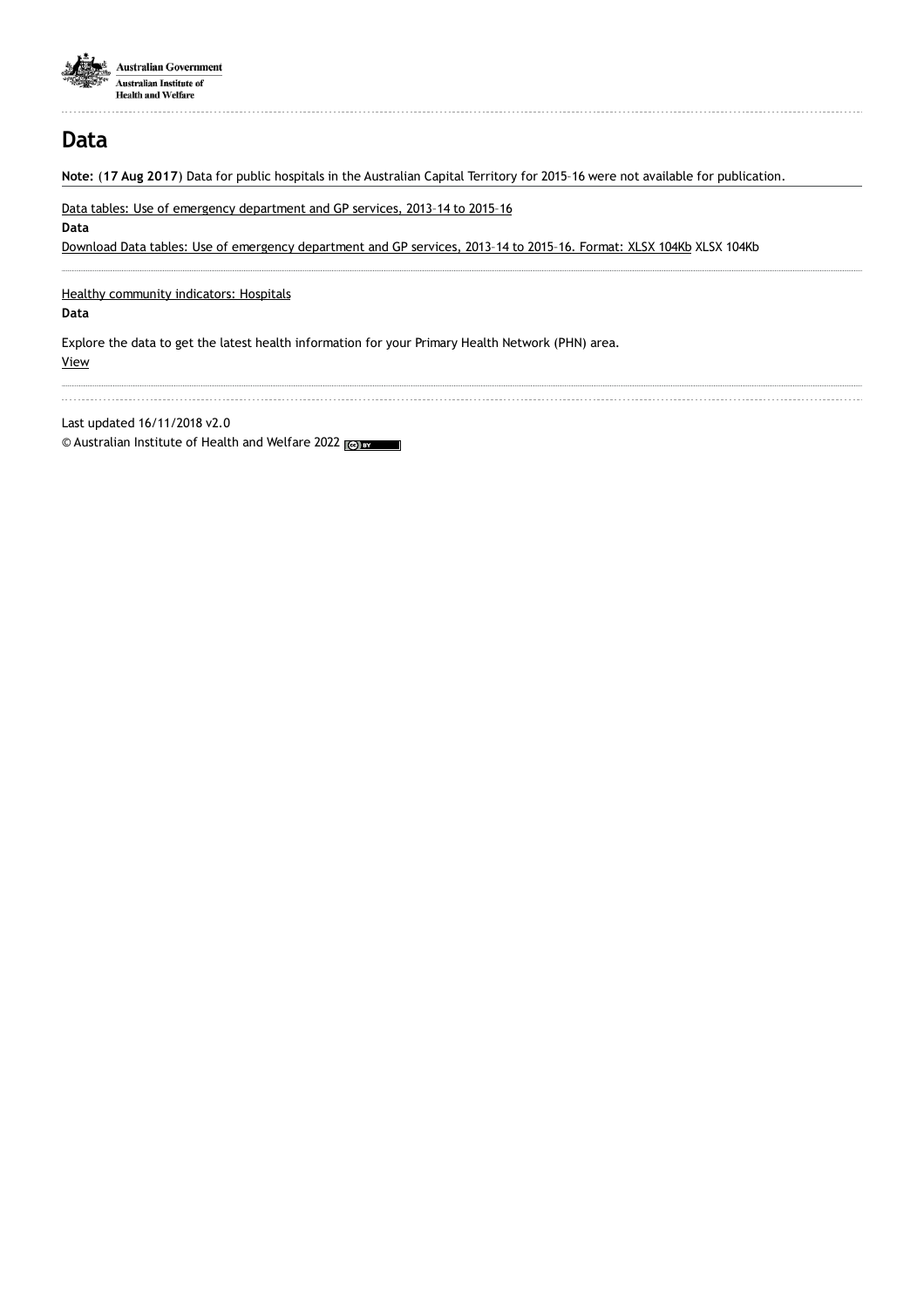

## **Data**

**Note:** (**17 Aug 2017**) Data for public hospitals in the Australian Capital Territory for 2015–16 were not available for publication.

Data tables: Use of emergency [department](https://www.aihw.gov.au/getmedia/e4a381c5-6296-4007-b978-306dac85bcf9/aihw-mhc-hpf-39-emergency-dept-use-datasheet-report-hc36.xlsx.aspx) and GP services, 2013–14 to 2015–16

**Data**

Download Data tables: Use of emergency [department](https://www.aihw.gov.au/getmedia/e4a381c5-6296-4007-b978-306dac85bcf9/aihw-mhc-hpf-39-emergency-dept-use-datasheet-report-hc36.xlsx.aspx) and GP services, 2013–14 to 2015–16. Format: XLSX 104Kb XLSX 104Kb

Healthy [community](https://www.aihw.gov.au/reports-data/indicators/healthy-community-indicators/national/all-australia/hospitals/hospitals) indicators: Hospitals

**Data**

Explore the data to get the latest health information for your Primary Health Network (PHN) area. [View](https://www.aihw.gov.au/reports-data/indicators/healthy-community-indicators/national/all-australia/hospitals/hospitals)

Last updated 16/11/2018 v2.0

© Australian Institute of Health and Welfare 2022